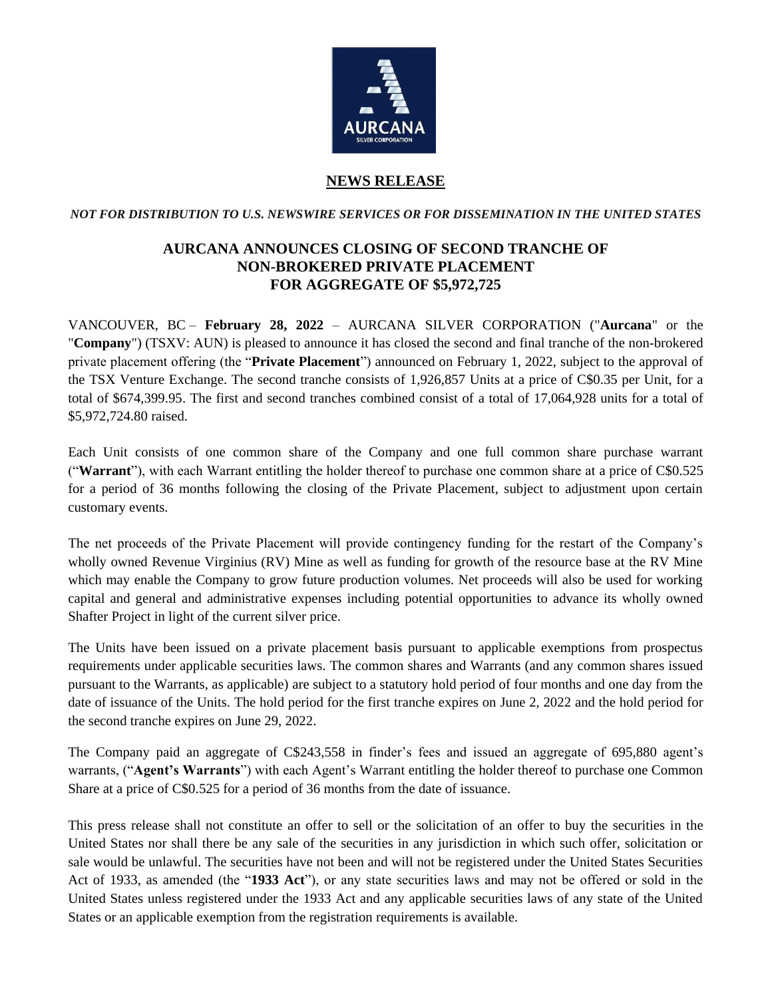

## **NEWS RELEASE**

*NOT FOR DISTRIBUTION TO U.S. NEWSWIRE SERVICES OR FOR DISSEMINATION IN THE UNITED STATES*

## **AURCANA ANNOUNCES CLOSING OF SECOND TRANCHE OF NON-BROKERED PRIVATE PLACEMENT FOR AGGREGATE OF \$5,972,725**

VANCOUVER, BC – **February 28, 2022** – AURCANA SILVER CORPORATION ("**Aurcana**" or the "**Company**") (TSXV: AUN) is pleased to announce it has closed the second and final tranche of the non-brokered private placement offering (the "**Private Placement**") announced on February 1, 2022, subject to the approval of the TSX Venture Exchange. The second tranche consists of 1,926,857 Units at a price of C\$0.35 per Unit, for a total of \$674,399.95. The first and second tranches combined consist of a total of 17,064,928 units for a total of \$5,972,724.80 raised.

Each Unit consists of one common share of the Company and one full common share purchase warrant ("**Warrant**"), with each Warrant entitling the holder thereof to purchase one common share at a price of C\$0.525 for a period of 36 months following the closing of the Private Placement, subject to adjustment upon certain customary events.

The net proceeds of the Private Placement will provide contingency funding for the restart of the Company's wholly owned Revenue Virginius (RV) Mine as well as funding for growth of the resource base at the RV Mine which may enable the Company to grow future production volumes. Net proceeds will also be used for working capital and general and administrative expenses including potential opportunities to advance its wholly owned Shafter Project in light of the current silver price.

The Units have been issued on a private placement basis pursuant to applicable exemptions from prospectus requirements under applicable securities laws. The common shares and Warrants (and any common shares issued pursuant to the Warrants, as applicable) are subject to a statutory hold period of four months and one day from the date of issuance of the Units. The hold period for the first tranche expires on June 2, 2022 and the hold period for the second tranche expires on June 29, 2022.

The Company paid an aggregate of C\$243,558 in finder's fees and issued an aggregate of 695,880 agent's warrants, ("**Agent's Warrants**") with each Agent's Warrant entitling the holder thereof to purchase one Common Share at a price of C\$0.525 for a period of 36 months from the date of issuance.

This press release shall not constitute an offer to sell or the solicitation of an offer to buy the securities in the United States nor shall there be any sale of the securities in any jurisdiction in which such offer, solicitation or sale would be unlawful. The securities have not been and will not be registered under the United States Securities Act of 1933, as amended (the "**1933 Act**"), or any state securities laws and may not be offered or sold in the United States unless registered under the 1933 Act and any applicable securities laws of any state of the United States or an applicable exemption from the registration requirements is available.